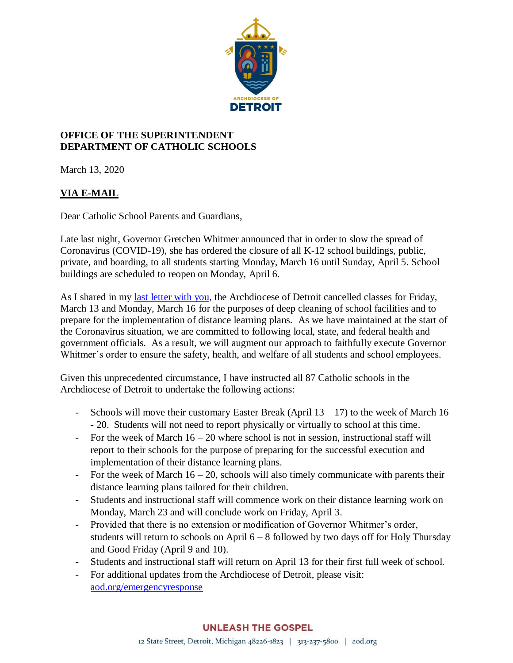

## **OFFICE OF THE SUPERINTENDENT DEPARTMENT OF CATHOLIC SCHOOLS**

March 13, 2020

## **VIA E-MAIL**

Dear Catholic School Parents and Guardians,

Late last night, Governor Gretchen Whitmer announced that in order to slow the spread of Coronavirus (COVID-19), she has ordered the closure of all K-12 school buildings, public, private, and boarding, to all students starting Monday, March 16 until Sunday, April 5. School buildings are scheduled to reopen on Monday, April 6.

As I shared in my last [letter with you,](https://aod.box.com/s/u1h6aztrvzgc1npbi7oesowqozscfjfg) the Archdiocese of Detroit cancelled classes for Friday, March 13 and Monday, March 16 for the purposes of deep cleaning of school facilities and to prepare for the implementation of distance learning plans. As we have maintained at the start of the Coronavirus situation, we are committed to following local, state, and federal health and government officials. As a result, we will augment our approach to faithfully execute Governor Whitmer's order to ensure the safety, health, and welfare of all students and school employees.

Given this unprecedented circumstance, I have instructed all 87 Catholic schools in the Archdiocese of Detroit to undertake the following actions:

- Schools will move their customary Easter Break (April  $13 17$ ) to the week of March 16 - 20. Students will not need to report physically or virtually to school at this time.
- For the week of March  $16 20$  where school is not in session, instructional staff will report to their schools for the purpose of preparing for the successful execution and implementation of their distance learning plans.
- For the week of March  $16 20$ , schools will also timely communicate with parents their distance learning plans tailored for their children.
- Students and instructional staff will commence work on their distance learning work on Monday, March 23 and will conclude work on Friday, April 3.
- Provided that there is no extension or modification of Governor Whitmer's order, students will return to schools on April 6 – 8 followed by two days off for Holy Thursday and Good Friday (April 9 and 10).
- Students and instructional staff will return on April 13 for their first full week of school.
- For additional updates from the Archdiocese of Detroit, please visit: [aod.org/emergencyresponse](http://www.aod.org/emergencyresponse)